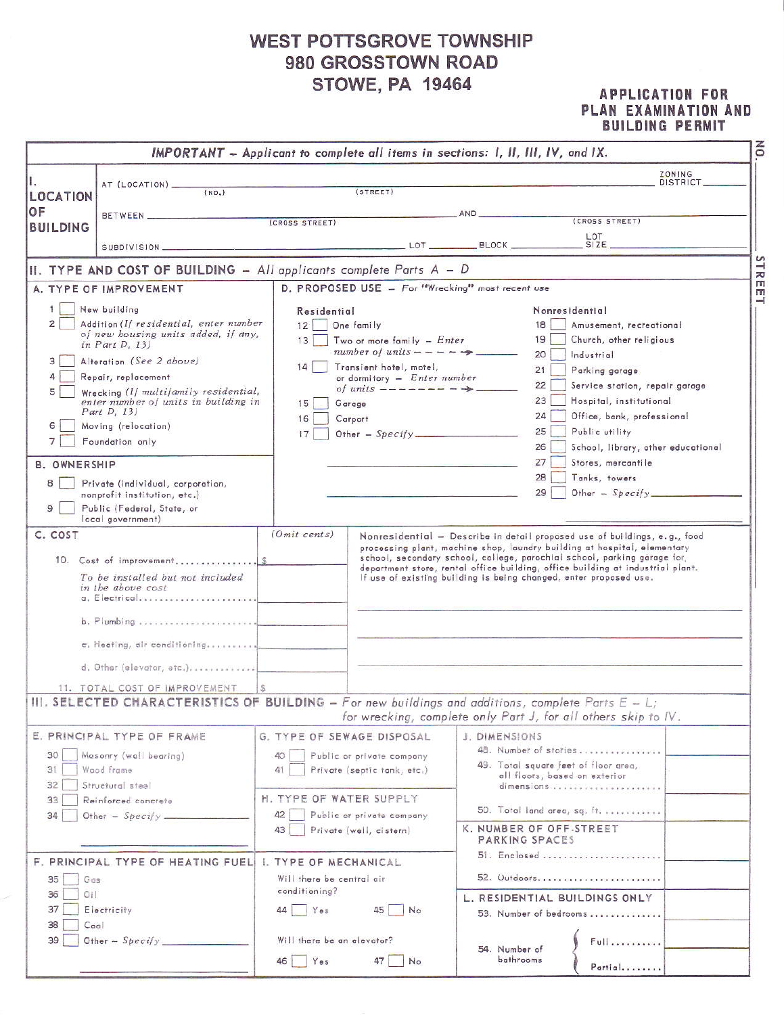## **WEST POTTSGROVE TOWNSHIP** 980 GROSSTOWN ROAD **STOWE, PA 19464**

## **APPLICATION FOR** PLAN EXAMINATION AND **BUILDING PERMIT**

|                                                                 |                                                                                                       |                            | IMPORTANT - Applicant to complete all items in sections: I, II, III, IV, and IX. |                            |                                                                                                                                                                                                                                                                                                                                                                                          | $\overline{6}$            |
|-----------------------------------------------------------------|-------------------------------------------------------------------------------------------------------|----------------------------|----------------------------------------------------------------------------------|----------------------------|------------------------------------------------------------------------------------------------------------------------------------------------------------------------------------------------------------------------------------------------------------------------------------------------------------------------------------------------------------------------------------------|---------------------------|
|                                                                 | AT (LOCATION) __                                                                                      |                            |                                                                                  |                            |                                                                                                                                                                                                                                                                                                                                                                                          | ZONING<br><b>DISTRICT</b> |
| LOCATION                                                        | (NO <sub>2</sub> )                                                                                    |                            | (STREET)                                                                         |                            |                                                                                                                                                                                                                                                                                                                                                                                          |                           |
| OF                                                              |                                                                                                       |                            |                                                                                  | AND                        | (CROSS STREET)                                                                                                                                                                                                                                                                                                                                                                           |                           |
| <b>BUILDING</b>                                                 |                                                                                                       | (CROSS STREET)             |                                                                                  |                            |                                                                                                                                                                                                                                                                                                                                                                                          |                           |
|                                                                 |                                                                                                       |                            |                                                                                  |                            | LOT                                                                                                                                                                                                                                                                                                                                                                                      |                           |
|                                                                 | II. TYPE AND COST OF BUILDING - All applicants complete Parts A - D                                   |                            |                                                                                  |                            |                                                                                                                                                                                                                                                                                                                                                                                          | STR                       |
|                                                                 | A. TYPE OF IMPROVEMENT                                                                                |                            | D. PROPOSED USE - For "Wrecking" most recent use                                 |                            |                                                                                                                                                                                                                                                                                                                                                                                          | m<br>m                    |
|                                                                 | New building                                                                                          | Residential                |                                                                                  |                            | Nonresidential                                                                                                                                                                                                                                                                                                                                                                           | $\rightarrow$             |
| $\overline{2}$                                                  | Addition (If residential, enter number                                                                | 12                         | One family                                                                       |                            | 18<br>Amusement, recreational                                                                                                                                                                                                                                                                                                                                                            |                           |
|                                                                 | of new bousing units added, if any,<br>in Part D, $13$ )                                              | 13 <sup>1</sup>            | Two or more family $-$ <i>Enter</i>                                              |                            | 19<br>Church, other religious                                                                                                                                                                                                                                                                                                                                                            |                           |
| 3                                                               | Alteration (See 2 above)                                                                              |                            | number of units $--- \rightarrow$                                                |                            | 20<br>Industrial                                                                                                                                                                                                                                                                                                                                                                         |                           |
|                                                                 | Repair, replacement                                                                                   | 14                         | Transient hotel, motel,<br>or dormitory $-$ <i>Enter number</i>                  |                            | 21<br>Parking garage                                                                                                                                                                                                                                                                                                                                                                     |                           |
| 5                                                               | Wrecking (If multifamily residential,                                                                 |                            | of units $---------$                                                             |                            | 22<br>Service station, repair garage                                                                                                                                                                                                                                                                                                                                                     |                           |
|                                                                 | enter number of units in building in                                                                  | 15                         | Garage                                                                           |                            | 23<br>Hospital, institutional                                                                                                                                                                                                                                                                                                                                                            |                           |
| Part D, 13)<br>6<br>Moving (relocation)<br>7<br>Foundation only |                                                                                                       | 16                         | Carport                                                                          |                            | 24<br>Office, bank, professional                                                                                                                                                                                                                                                                                                                                                         |                           |
|                                                                 |                                                                                                       | 17                         | Other $-$ Specify                                                                |                            | 25<br>Public utility                                                                                                                                                                                                                                                                                                                                                                     |                           |
|                                                                 |                                                                                                       |                            |                                                                                  |                            | 26<br>School, library, other educational                                                                                                                                                                                                                                                                                                                                                 |                           |
| <b>B. OWNERSHIP</b>                                             |                                                                                                       |                            |                                                                                  |                            | 27<br>Stores, mercantile                                                                                                                                                                                                                                                                                                                                                                 |                           |
| 8                                                               | Private (individual, corporation,                                                                     |                            |                                                                                  |                            | 28<br>Tanks, towers<br>29<br>Other $-$ Specify                                                                                                                                                                                                                                                                                                                                           |                           |
| 9                                                               | nonprofit institution, etc.)<br>Public (Federal, State, or<br>local government)                       |                            |                                                                                  |                            |                                                                                                                                                                                                                                                                                                                                                                                          |                           |
| C. COST                                                         | 10. Cost of improvement\$<br>To be installed but not included<br>in the above cost<br>a. Electrical   | $(Omit \; cents)$          |                                                                                  |                            | Nonresidential - Describe in detail proposed use of buildings, e.g., food<br>processing plant, machine shop, laundry building at hospital, elementary<br>school, secondary school, college, parochial school, parking garage for,<br>department store, rental office building, office building at industrial plant.<br>If use of existing building is being changed, enter proposed use. |                           |
|                                                                 |                                                                                                       |                            |                                                                                  |                            |                                                                                                                                                                                                                                                                                                                                                                                          |                           |
|                                                                 | $\tau$ . Heating, air conditioning                                                                    |                            |                                                                                  |                            |                                                                                                                                                                                                                                                                                                                                                                                          |                           |
|                                                                 | d. Other (elevator, etc.)                                                                             |                            |                                                                                  |                            |                                                                                                                                                                                                                                                                                                                                                                                          |                           |
|                                                                 | 11. TOTAL COST OF IMPROVEMENT                                                                         |                            |                                                                                  |                            |                                                                                                                                                                                                                                                                                                                                                                                          |                           |
|                                                                 | III. SELECTED CHARACTERISTICS OF BUILDING - For new buildings and additions, complete Parts $E - L$ ; |                            |                                                                                  |                            | for wrecking, complete only Part J, for all others skip to IV.                                                                                                                                                                                                                                                                                                                           |                           |
|                                                                 | E. PRINCIPAL TYPE OF FRAME                                                                            |                            | G. TYPE OF SEWAGE DISPOSAL                                                       | J. DIMENSIONS              |                                                                                                                                                                                                                                                                                                                                                                                          |                           |
| 30                                                              | Masonry (wall bearing)                                                                                | 40                         | Public or private company                                                        |                            | 48. Number of stories                                                                                                                                                                                                                                                                                                                                                                    |                           |
| 31                                                              | Wood frame                                                                                            | 41                         | Private (septic tank, etc.)                                                      |                            | 49. Total square feet of floor area,                                                                                                                                                                                                                                                                                                                                                     |                           |
| 32                                                              | Structural steel                                                                                      |                            |                                                                                  |                            | all floors, based on exterior<br>dimensions                                                                                                                                                                                                                                                                                                                                              |                           |
| 33                                                              | Reinforced concrete                                                                                   | H. TYPE OF WATER SUPPLY    |                                                                                  |                            |                                                                                                                                                                                                                                                                                                                                                                                          |                           |
| 34                                                              | Other - $Speci/y$ .                                                                                   | 42                         | Public or private company                                                        |                            | 50. Total land area, sq. ft.                                                                                                                                                                                                                                                                                                                                                             |                           |
|                                                                 |                                                                                                       | 43                         | Private (well, cistern)                                                          |                            | K. NUMBER OF OFF-STREET<br>PARKING SPACES                                                                                                                                                                                                                                                                                                                                                |                           |
|                                                                 | F. PRINCIPAL TYPE OF HEATING FUELI I. TYPE OF MECHANICAL                                              |                            |                                                                                  |                            | 51. Enclosed                                                                                                                                                                                                                                                                                                                                                                             |                           |
| 35<br>Gas                                                       |                                                                                                       | Will there be central air  |                                                                                  |                            | 52. Outdoors                                                                                                                                                                                                                                                                                                                                                                             |                           |
| Oil<br>36                                                       |                                                                                                       | conditioning?              |                                                                                  |                            |                                                                                                                                                                                                                                                                                                                                                                                          |                           |
| 37                                                              | Electricity                                                                                           | Yes<br>44                  | 45<br>No                                                                         |                            | L. RESIDENTIAL BUILDINGS ONLY                                                                                                                                                                                                                                                                                                                                                            |                           |
| 38<br>Co <sub>a</sub>                                           |                                                                                                       |                            |                                                                                  |                            | 53. Number of bedrooms                                                                                                                                                                                                                                                                                                                                                                   |                           |
| 39                                                              |                                                                                                       | Will there be an elevator? |                                                                                  |                            | Full                                                                                                                                                                                                                                                                                                                                                                                     |                           |
|                                                                 |                                                                                                       | 46<br>Yes                  | 47<br>No                                                                         | 54. Number of<br>bathrooms |                                                                                                                                                                                                                                                                                                                                                                                          |                           |
|                                                                 |                                                                                                       |                            |                                                                                  |                            | Partial                                                                                                                                                                                                                                                                                                                                                                                  |                           |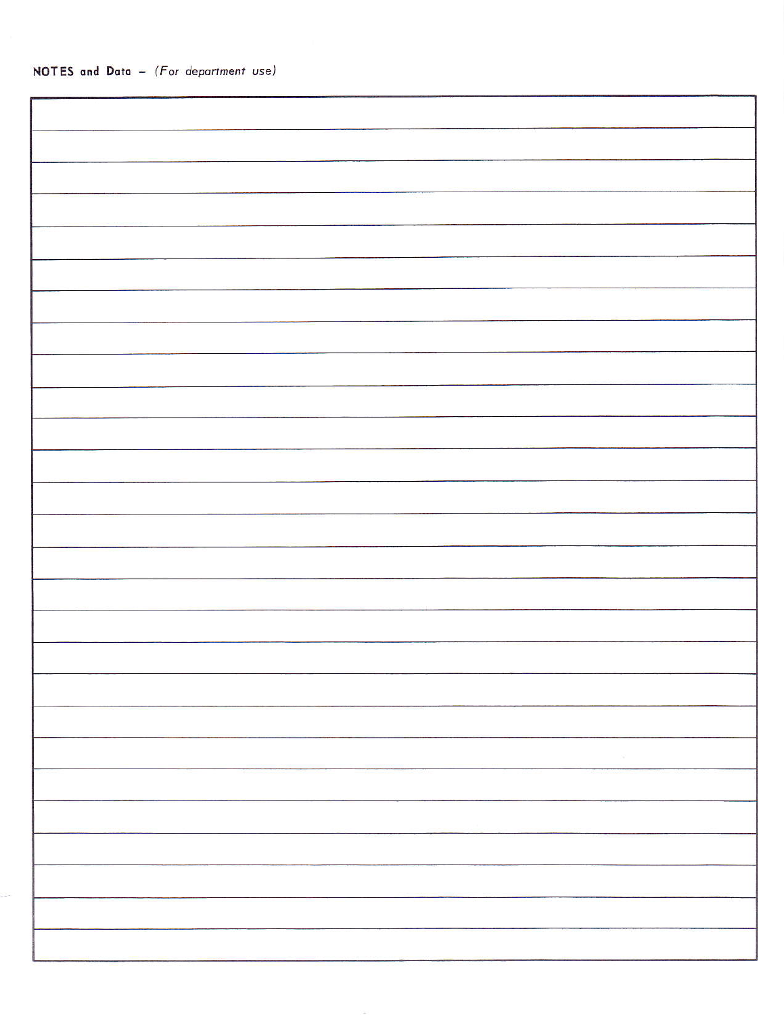| - 24 |
|------|
|      |
|      |
|      |
|      |
|      |
|      |
|      |
|      |
|      |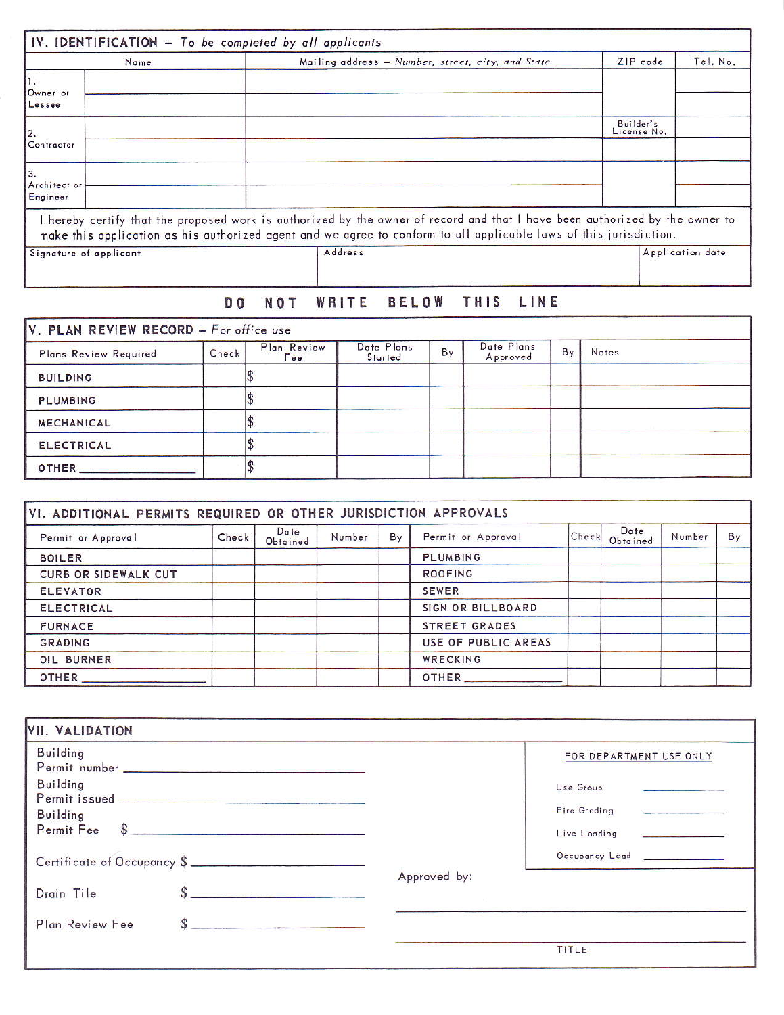| Name                     | Mailing address - Number, street, city, and State                                                                                                                                                                                                  | ZIP code                 | Tel. No.         |
|--------------------------|----------------------------------------------------------------------------------------------------------------------------------------------------------------------------------------------------------------------------------------------------|--------------------------|------------------|
| Owner or<br>Lessee       |                                                                                                                                                                                                                                                    |                          |                  |
| 2.<br>Contractor         |                                                                                                                                                                                                                                                    | Builder's<br>License No. |                  |
| Architect or<br>Engineer |                                                                                                                                                                                                                                                    |                          |                  |
|                          | I hereby certify that the proposed work is authorized by the owner of record and that I have been authorized by the owner to<br>make this application as his authorized agent and we agree to conform to all applicable laws of this jurisdiction. |                          |                  |
| Signature of applicant   | Address                                                                                                                                                                                                                                            |                          | Application date |

## DO NOT WRITE BELOW THIS LINE

| Plans Review Required | Check | Plan Review<br>Fee | Date Plans<br>Started | By | Date Plans<br>Approved | By | <b>Notes</b> |
|-----------------------|-------|--------------------|-----------------------|----|------------------------|----|--------------|
| <b>BUILDING</b>       |       |                    |                       |    |                        |    |              |
| <b>PLUMBING</b>       |       |                    |                       |    |                        |    |              |
| <b>MECHANICAL</b>     |       |                    |                       |    |                        |    |              |
| <b>ELECTRICAL</b>     |       |                    |                       |    |                        |    |              |
| OTHER                 |       |                    |                       |    |                        |    |              |

| Permit or Approval          | Check | Date<br>Obtained | Number | By | Permit or Approval   | Check | Date<br>Obtained | Number | By |
|-----------------------------|-------|------------------|--------|----|----------------------|-------|------------------|--------|----|
| <b>BOILER</b>               |       |                  |        |    | <b>PLUMBING</b>      |       |                  |        |    |
| <b>CURB OR SIDEWALK CUT</b> |       |                  |        |    | <b>ROOFING</b>       |       |                  |        |    |
| <b>ELEVATOR</b>             |       |                  |        |    | <b>SEWER</b>         |       |                  |        |    |
| <b>ELECTRICAL</b>           |       |                  |        |    | SIGN OR BILLBOARD    |       |                  |        |    |
| <b>FURNACE</b>              |       |                  |        |    | <b>STREET GRADES</b> |       |                  |        |    |
| <b>GRADING</b>              |       |                  |        |    | USE OF PUBLIC AREAS  |       |                  |        |    |
| OIL BURNER                  |       |                  |        |    | WRECKING             |       |                  |        |    |
| OTHER                       |       |                  |        |    | OTHER                |       |                  |        |    |

| <b>Building</b>             | FOR DEPARTMENT USE ONLY     |  |
|-----------------------------|-----------------------------|--|
| Building                    | Use Group                   |  |
| <b>Building</b>             | Fire Grading                |  |
| s<br>Permit Fee             | Live Loading                |  |
| Certificate of Occupancy \$ | Occupancy Load ____________ |  |
|                             | Approved by:                |  |
| Drain Tile                  |                             |  |
| s<br>Plan Review Fee        |                             |  |
|                             | TITLE                       |  |